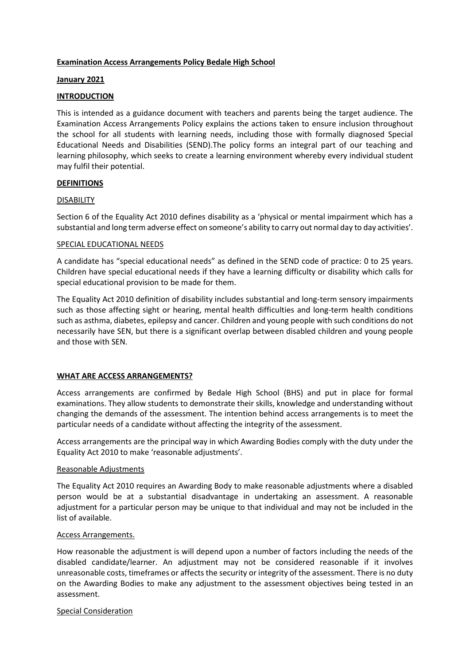# **Examination Access Arrangements Policy Bedale High School**

#### **January 2021**

#### **INTRODUCTION**

This is intended as a guidance document with teachers and parents being the target audience. The Examination Access Arrangements Policy explains the actions taken to ensure inclusion throughout the school for all students with learning needs, including those with formally diagnosed Special Educational Needs and Disabilities (SEND).The policy forms an integral part of our teaching and learning philosophy, which seeks to create a learning environment whereby every individual student may fulfil their potential.

#### **DEFINITIONS**

#### DISABILITY

Section 6 of the Equality Act 2010 defines disability as a 'physical or mental impairment which has a substantial and long term adverse effect on someone's ability to carry out normal day to day activities'.

#### SPECIAL EDUCATIONAL NEEDS

A candidate has "special educational needs" as defined in the SEND code of practice: 0 to 25 years. Children have special educational needs if they have a learning difficulty or disability which calls for special educational provision to be made for them.

The Equality Act 2010 definition of disability includes substantial and long-term sensory impairments such as those affecting sight or hearing, mental health difficulties and long-term health conditions such as asthma, diabetes, epilepsy and cancer. Children and young people with such conditions do not necessarily have SEN, but there is a significant overlap between disabled children and young people and those with SEN.

# **WHAT ARE ACCESS ARRANGEMENTS?**

Access arrangements are confirmed by Bedale High School (BHS) and put in place for formal examinations. They allow students to demonstrate their skills, knowledge and understanding without changing the demands of the assessment. The intention behind access arrangements is to meet the particular needs of a candidate without affecting the integrity of the assessment.

Access arrangements are the principal way in which Awarding Bodies comply with the duty under the Equality Act 2010 to make 'reasonable adjustments'.

#### Reasonable Adjustments

The Equality Act 2010 requires an Awarding Body to make reasonable adjustments where a disabled person would be at a substantial disadvantage in undertaking an assessment. A reasonable adjustment for a particular person may be unique to that individual and may not be included in the list of available.

#### Access Arrangements.

How reasonable the adjustment is will depend upon a number of factors including the needs of the disabled candidate/learner. An adjustment may not be considered reasonable if it involves unreasonable costs, timeframes or affects the security or integrity of the assessment. There is no duty on the Awarding Bodies to make any adjustment to the assessment objectives being tested in an assessment.

#### Special Consideration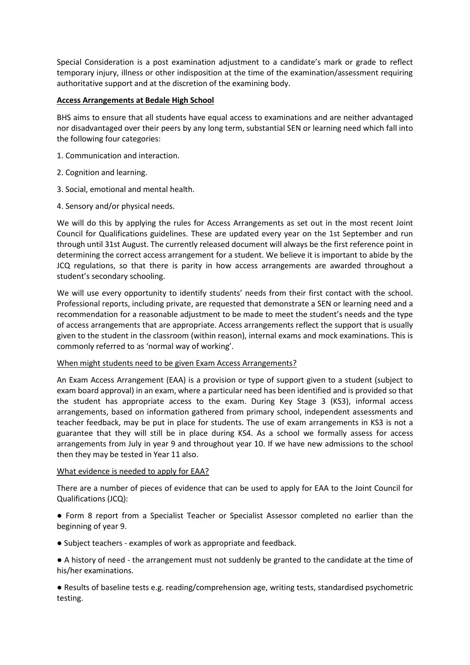Special Consideration is a post examination adjustment to a candidate's mark or grade to reflect temporary injury, illness or other indisposition at the time of the examination/assessment requiring authoritative support and at the discretion of the examining body.

# **Access Arrangements at Bedale High School**

BHS aims to ensure that all students have equal access to examinations and are neither advantaged nor disadvantaged over their peers by any long term, substantial SEN or learning need which fall into the following four categories:

- 1. Communication and interaction.
- 2. Cognition and learning.
- 3. Social, emotional and mental health.
- 4. Sensory and/or physical needs.

We will do this by applying the rules for Access Arrangements as set out in the most recent Joint Council for Qualifications guidelines. These are updated every year on the 1st September and run through until 31st August. The currently released document will always be the first reference point in determining the correct access arrangement for a student. We believe it is important to abide by the JCQ regulations, so that there is parity in how access arrangements are awarded throughout a student's secondary schooling.

We will use every opportunity to identify students' needs from their first contact with the school. Professional reports, including private, are requested that demonstrate a SEN or learning need and a recommendation for a reasonable adjustment to be made to meet the student's needs and the type of access arrangements that are appropriate. Access arrangements reflect the support that is usually given to the student in the classroom (within reason), internal exams and mock examinations. This is commonly referred to as 'normal way of working'.

# When might students need to be given Exam Access Arrangements?

An Exam Access Arrangement (EAA) is a provision or type of support given to a student (subject to exam board approval) in an exam, where a particular need has been identified and is provided so that the student has appropriate access to the exam. During Key Stage 3 (KS3), informal access arrangements, based on information gathered from primary school, independent assessments and teacher feedback, may be put in place for students. The use of exam arrangements in KS3 is not a guarantee that they will still be in place during KS4. As a school we formally assess for access arrangements from July in year 9 and throughout year 10. If we have new admissions to the school then they may be tested in Year 11 also.

# What evidence is needed to apply for EAA?

There are a number of pieces of evidence that can be used to apply for EAA to the Joint Council for Qualifications (JCQ):

● Form 8 report from a Specialist Teacher or Specialist Assessor completed no earlier than the beginning of year 9.

● Subject teachers - examples of work as appropriate and feedback.

● A history of need - the arrangement must not suddenly be granted to the candidate at the time of his/her examinations.

● Results of baseline tests e.g. reading/comprehension age, writing tests, standardised psychometric testing.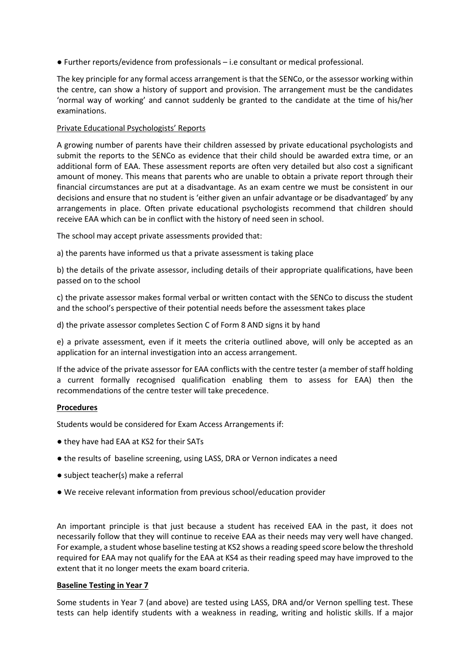● Further reports/evidence from professionals – i.e consultant or medical professional.

The key principle for any formal access arrangement is that the SENCo, or the assessor working within the centre, can show a history of support and provision. The arrangement must be the candidates 'normal way of working' and cannot suddenly be granted to the candidate at the time of his/her examinations.

# Private Educational Psychologists' Reports

A growing number of parents have their children assessed by private educational psychologists and submit the reports to the SENCo as evidence that their child should be awarded extra time, or an additional form of EAA. These assessment reports are often very detailed but also cost a significant amount of money. This means that parents who are unable to obtain a private report through their financial circumstances are put at a disadvantage. As an exam centre we must be consistent in our decisions and ensure that no student is 'either given an unfair advantage or be disadvantaged' by any arrangements in place. Often private educational psychologists recommend that children should receive EAA which can be in conflict with the history of need seen in school.

The school may accept private assessments provided that:

a) the parents have informed us that a private assessment is taking place

b) the details of the private assessor, including details of their appropriate qualifications, have been passed on to the school

c) the private assessor makes formal verbal or written contact with the SENCo to discuss the student and the school's perspective of their potential needs before the assessment takes place

d) the private assessor completes Section C of Form 8 AND signs it by hand

e) a private assessment, even if it meets the criteria outlined above, will only be accepted as an application for an internal investigation into an access arrangement.

If the advice of the private assessor for EAA conflicts with the centre tester (a member of staff holding a current formally recognised qualification enabling them to assess for EAA) then the recommendations of the centre tester will take precedence.

# **Procedures**

Students would be considered for Exam Access Arrangements if:

- they have had EAA at KS2 for their SATs
- the results of baseline screening, using LASS, DRA or Vernon indicates a need
- subject teacher(s) make a referral
- We receive relevant information from previous school/education provider

An important principle is that just because a student has received EAA in the past, it does not necessarily follow that they will continue to receive EAA as their needs may very well have changed. For example, a student whose baseline testing at KS2 shows a reading speed score below the threshold required for EAA may not qualify for the EAA at KS4 as their reading speed may have improved to the extent that it no longer meets the exam board criteria.

# **Baseline Testing in Year 7**

Some students in Year 7 (and above) are tested using LASS, DRA and/or Vernon spelling test. These tests can help identify students with a weakness in reading, writing and holistic skills. If a major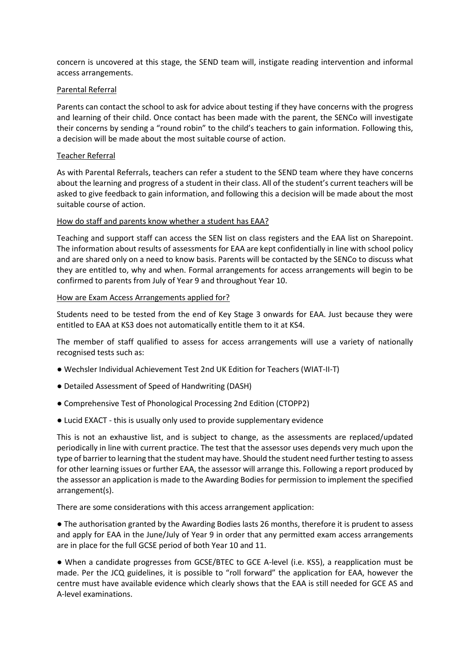concern is uncovered at this stage, the SEND team will, instigate reading intervention and informal access arrangements.

# Parental Referral

Parents can contact the school to ask for advice about testing if they have concerns with the progress and learning of their child. Once contact has been made with the parent, the SENCo will investigate their concerns by sending a "round robin" to the child's teachers to gain information. Following this, a decision will be made about the most suitable course of action.

### Teacher Referral

As with Parental Referrals, teachers can refer a student to the SEND team where they have concerns about the learning and progress of a student in their class. All of the student's current teachers will be asked to give feedback to gain information, and following this a decision will be made about the most suitable course of action.

#### How do staff and parents know whether a student has EAA?

Teaching and support staff can access the SEN list on class registers and the EAA list on Sharepoint. The information about results of assessments for EAA are kept confidentially in line with school policy and are shared only on a need to know basis. Parents will be contacted by the SENCo to discuss what they are entitled to, why and when. Formal arrangements for access arrangements will begin to be confirmed to parents from July of Year 9 and throughout Year 10.

#### How are Exam Access Arrangements applied for?

Students need to be tested from the end of Key Stage 3 onwards for EAA. Just because they were entitled to EAA at KS3 does not automatically entitle them to it at KS4.

The member of staff qualified to assess for access arrangements will use a variety of nationally recognised tests such as:

- Wechsler Individual Achievement Test 2nd UK Edition for Teachers (WIAT-II-T)
- Detailed Assessment of Speed of Handwriting (DASH)
- Comprehensive Test of Phonological Processing 2nd Edition (CTOPP2)
- Lucid EXACT this is usually only used to provide supplementary evidence

This is not an exhaustive list, and is subject to change, as the assessments are replaced/updated periodically in line with current practice. The test that the assessor uses depends very much upon the type of barrier to learning that the student may have. Should the student need further testing to assess for other learning issues or further EAA, the assessor will arrange this. Following a report produced by the assessor an application is made to the Awarding Bodies for permission to implement the specified arrangement(s).

There are some considerations with this access arrangement application:

● The authorisation granted by the Awarding Bodies lasts 26 months, therefore it is prudent to assess and apply for EAA in the June/July of Year 9 in order that any permitted exam access arrangements are in place for the full GCSE period of both Year 10 and 11.

● When a candidate progresses from GCSE/BTEC to GCE A-level (i.e. KS5), a reapplication must be made. Per the JCQ guidelines, it is possible to "roll forward" the application for EAA, however the centre must have available evidence which clearly shows that the EAA is still needed for GCE AS and A-level examinations.